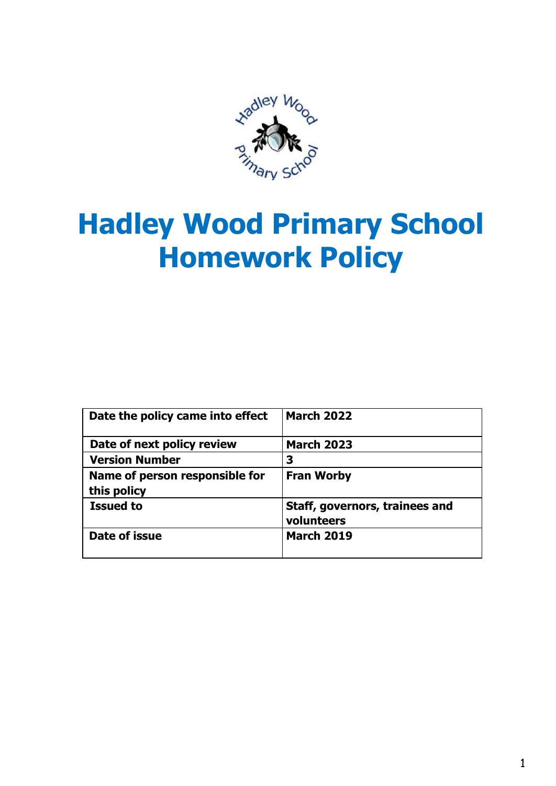

# **Hadley Wood Primary School Homework Policy**

| Date the policy came into effect | <b>March 2022</b>                            |
|----------------------------------|----------------------------------------------|
| Date of next policy review       | <b>March 2023</b>                            |
| <b>Version Number</b>            | 3                                            |
| Name of person responsible for   | <b>Fran Worby</b>                            |
| this policy                      |                                              |
| <b>Issued to</b>                 | Staff, governors, trainees and<br>volunteers |
| Date of issue                    | <b>March 2019</b>                            |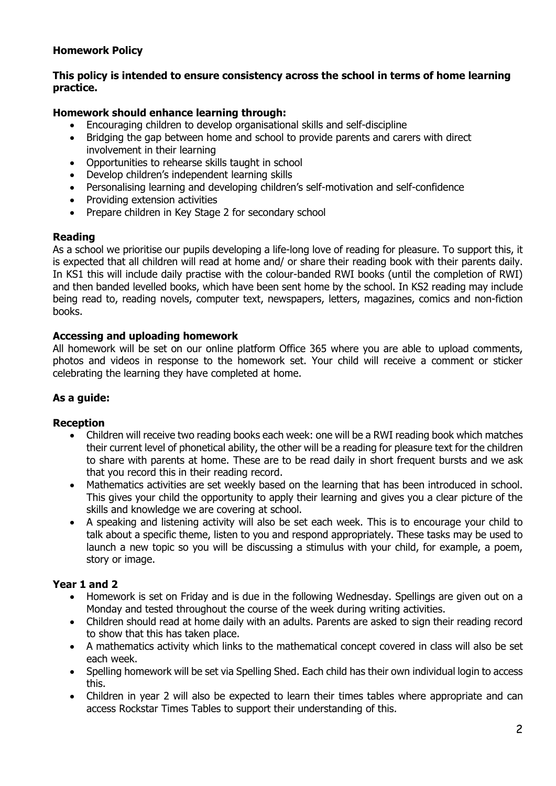## **Homework Policy**

## **This policy is intended to ensure consistency across the school in terms of home learning practice.**

## **Homework should enhance learning through:**

- Encouraging children to develop organisational skills and self-discipline
- Bridging the gap between home and school to provide parents and carers with direct involvement in their learning
- Opportunities to rehearse skills taught in school
- Develop children's independent learning skills
- Personalising learning and developing children's self-motivation and self-confidence
- Providing extension activities
- Prepare children in Key Stage 2 for secondary school

#### **Reading**

As a school we prioritise our pupils developing a life-long love of reading for pleasure. To support this, it is expected that all children will read at home and/ or share their reading book with their parents daily. In KS1 this will include daily practise with the colour-banded RWI books (until the completion of RWI) and then banded levelled books, which have been sent home by the school. In KS2 reading may include being read to, reading novels, computer text, newspapers, letters, magazines, comics and non-fiction books.

#### **Accessing and uploading homework**

All homework will be set on our online platform Office 365 where you are able to upload comments, photos and videos in response to the homework set. Your child will receive a comment or sticker celebrating the learning they have completed at home.

#### **As a guide:**

#### **Reception**

- Children will receive two reading books each week: one will be a RWI reading book which matches their current level of phonetical ability, the other will be a reading for pleasure text for the children to share with parents at home. These are to be read daily in short frequent bursts and we ask that you record this in their reading record.
- Mathematics activities are set weekly based on the learning that has been introduced in school. This gives your child the opportunity to apply their learning and gives you a clear picture of the skills and knowledge we are covering at school.
- A speaking and listening activity will also be set each week. This is to encourage your child to talk about a specific theme, listen to you and respond appropriately. These tasks may be used to launch a new topic so you will be discussing a stimulus with your child, for example, a poem, story or image.

#### **Year 1 and 2**

- Homework is set on Friday and is due in the following Wednesday. Spellings are given out on a Monday and tested throughout the course of the week during writing activities.
- Children should read at home daily with an adults. Parents are asked to sign their reading record to show that this has taken place.
- A mathematics activity which links to the mathematical concept covered in class will also be set each week.
- Spelling homework will be set via Spelling Shed. Each child has their own individual login to access this.
- Children in year 2 will also be expected to learn their times tables where appropriate and can access Rockstar Times Tables to support their understanding of this.